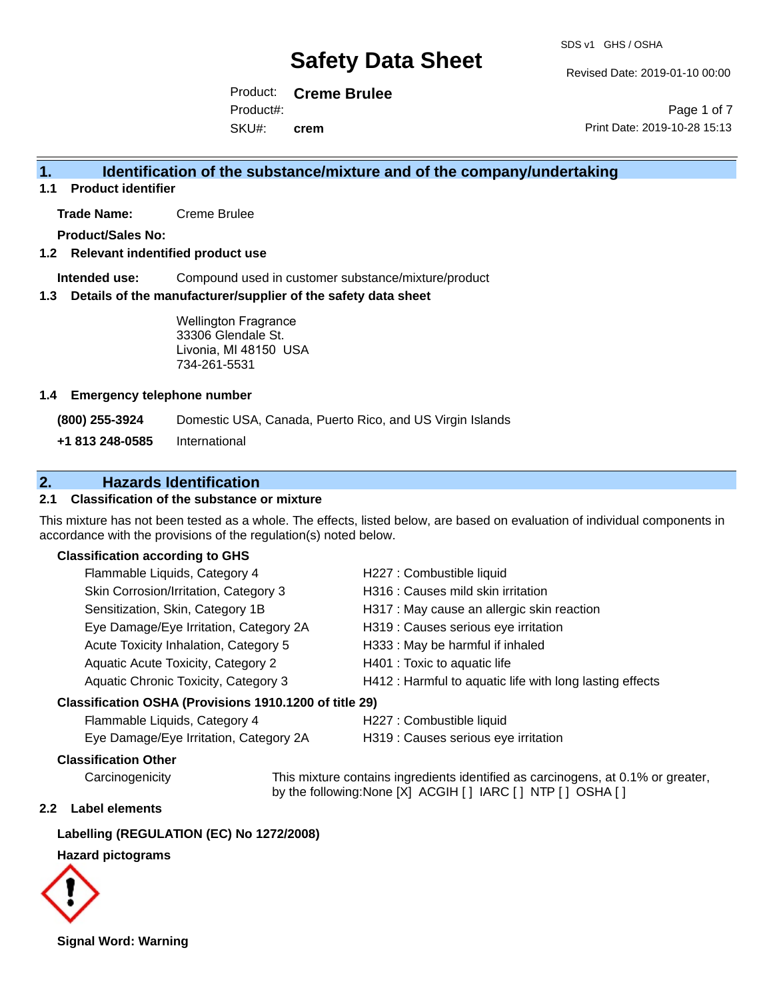Revised Date: 2019-01-10 00:00

Product: **Creme Brulee** Product#:

SKU#: **crem**

Page 1 of 7 Print Date: 2019-10-28 15:13

## **1. Identification of the substance/mixture and of the company/undertaking**

**1.1 Product identifier**

**Trade Name:** Creme Brulee

**Product/Sales No:**

#### **1.2 Relevant indentified product use**

**Intended use:** Compound used in customer substance/mixture/product

#### **1.3 Details of the manufacturer/supplier of the safety data sheet**

Wellington Fragrance 33306 Glendale St. Livonia, MI 48150 USA 734-261-5531

#### **1.4 Emergency telephone number**

**(800) 255-3924** Domestic USA, Canada, Puerto Rico, and US Virgin Islands

**+1 813 248-0585** International

## **2. Hazards Identification**

## **2.1 Classification of the substance or mixture**

This mixture has not been tested as a whole. The effects, listed below, are based on evaluation of individual components in accordance with the provisions of the regulation(s) noted below.

#### **Classification according to GHS**

| Flammable Liquids, Category 4                       | H227 : Combustible liquid                                |
|-----------------------------------------------------|----------------------------------------------------------|
| Skin Corrosion/Irritation, Category 3               | H316 : Causes mild skin irritation                       |
| Sensitization, Skin, Category 1B                    | H317 : May cause an allergic skin reaction               |
| Eye Damage/Eye Irritation, Category 2A              | H319 : Causes serious eye irritation                     |
| Acute Toxicity Inhalation, Category 5               | H333: May be harmful if inhaled                          |
| Aquatic Acute Toxicity, Category 2                  | H401 : Toxic to aquatic life                             |
| Aquatic Chronic Toxicity, Category 3                | H412 : Harmful to aquatic life with long lasting effects |
| ssification OSHA (Provisions 1910.1200 of title 29) |                                                          |

#### **Classification OSHA (Provisions 1910.1200 of title 29)**

| Flammable Liquids, Category 4          |  |
|----------------------------------------|--|
| Eve Damage/Eve Irritation. Category 2A |  |

H227 : Combustible liquid

H319 : Causes serious eye irritation

## **Classification Other**

Carcinogenicity This mixture contains ingredients identified as carcinogens, at 0.1% or greater, by the following:None [X] ACGIH [ ] IARC [ ] NTP [ ] OSHA [ ]

#### **2.2 Label elements**

## **Labelling (REGULATION (EC) No 1272/2008)**

## **Hazard pictograms**



**Signal Word: Warning**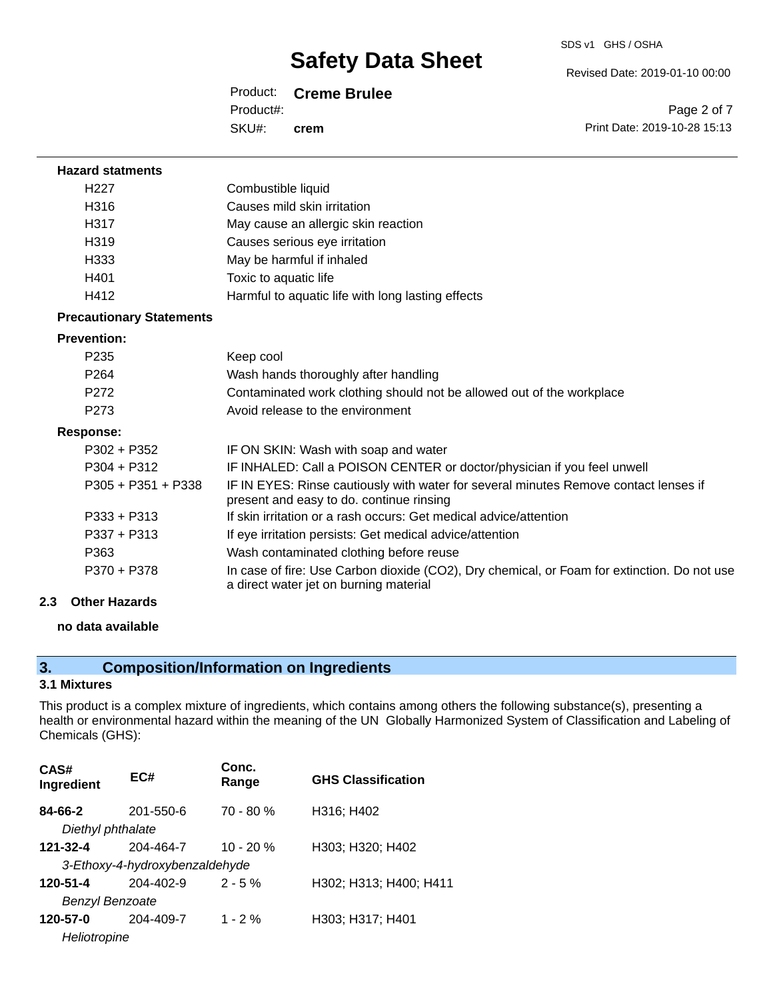Revised Date: 2019-01-10 00:00

## Product: **Creme Brulee**

Product#:

SKU#: **crem**

| Page 2 of 7                  |
|------------------------------|
| Print Date: 2019-10-28 15:13 |

| <b>Hazard statments</b>         |                                                                                                                                       |
|---------------------------------|---------------------------------------------------------------------------------------------------------------------------------------|
| H <sub>227</sub>                | Combustible liquid                                                                                                                    |
| H316                            | Causes mild skin irritation                                                                                                           |
| H317                            | May cause an allergic skin reaction                                                                                                   |
| H <sub>319</sub>                | Causes serious eye irritation                                                                                                         |
| H333                            | May be harmful if inhaled                                                                                                             |
| H401                            | Toxic to aquatic life                                                                                                                 |
| H412                            | Harmful to aquatic life with long lasting effects                                                                                     |
| <b>Precautionary Statements</b> |                                                                                                                                       |
| <b>Prevention:</b>              |                                                                                                                                       |
| P <sub>235</sub>                | Keep cool                                                                                                                             |
| P <sub>264</sub>                | Wash hands thoroughly after handling                                                                                                  |
| P <sub>272</sub>                | Contaminated work clothing should not be allowed out of the workplace                                                                 |
| P273                            | Avoid release to the environment                                                                                                      |
| Response:                       |                                                                                                                                       |
| $P302 + P352$                   | IF ON SKIN: Wash with soap and water                                                                                                  |
| $P304 + P312$                   | IF INHALED: Call a POISON CENTER or doctor/physician if you feel unwell                                                               |
| $P305 + P351 + P338$            | IF IN EYES: Rinse cautiously with water for several minutes Remove contact lenses if<br>present and easy to do. continue rinsing      |
| $P333 + P313$                   | If skin irritation or a rash occurs: Get medical advice/attention                                                                     |
| $P337 + P313$                   | If eye irritation persists: Get medical advice/attention                                                                              |
| P363                            | Wash contaminated clothing before reuse                                                                                               |
| P370 + P378                     | In case of fire: Use Carbon dioxide (CO2), Dry chemical, or Foam for extinction. Do not use<br>a direct water jet on burning material |

## **2.3 Other Hazards**

## **no data available**

## **3. Composition/Information on Ingredients**

## **3.1 Mixtures**

This product is a complex mixture of ingredients, which contains among others the following substance(s), presenting a health or environmental hazard within the meaning of the UN Globally Harmonized System of Classification and Labeling of Chemicals (GHS):

| CAS#<br>Ingredient     | EC#                            | Conc.<br>Range | <b>GHS Classification</b> |
|------------------------|--------------------------------|----------------|---------------------------|
| 84-66-2                | 201-550-6                      | $70 - 80 %$    | H316; H402                |
| Diethyl phthalate      |                                |                |                           |
| 121-32-4               | 204-464-7                      | $10 - 20 %$    | H303; H320; H402          |
|                        | 3-Ethoxy-4-hydroxybenzaldehyde |                |                           |
| 120-51-4               | 204-402-9                      | $2 - 5%$       | H302; H313; H400; H411    |
| <b>Benzyl Benzoate</b> |                                |                |                           |
| 120-57-0               | 204-409-7                      | $1 - 2\%$      | H303; H317; H401          |
| Heliotropine           |                                |                |                           |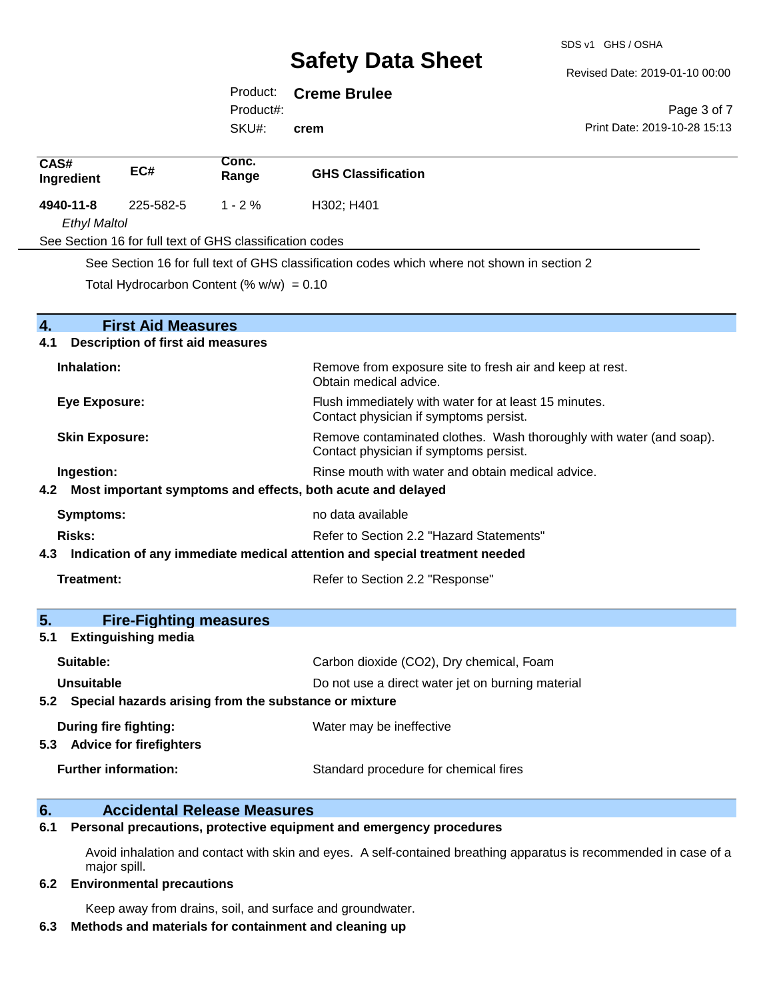Revised Date: 2019-01-10 00:00

Print Date: 2019-10-28 15:13

Page 3 of 7

## Product: **Creme Brulee**

Product#:

SKU#: **crem**

| CAS#<br>Ingredient                                                             | EC#                                                                                                                                    | Conc.<br>Range                                            | <b>GHS Classification</b>                                                                       |
|--------------------------------------------------------------------------------|----------------------------------------------------------------------------------------------------------------------------------------|-----------------------------------------------------------|-------------------------------------------------------------------------------------------------|
| 4940-11-8                                                                      | 225-582-5                                                                                                                              | $1 - 2%$                                                  | H302; H401                                                                                      |
| <b>Ethyl Maltol</b>                                                            |                                                                                                                                        |                                                           |                                                                                                 |
|                                                                                |                                                                                                                                        | See Section 16 for full text of GHS classification codes  |                                                                                                 |
|                                                                                |                                                                                                                                        |                                                           | See Section 16 for full text of GHS classification codes which where not shown in section 2     |
|                                                                                |                                                                                                                                        | Total Hydrocarbon Content (% $w/w$ ) = 0.10               |                                                                                                 |
|                                                                                |                                                                                                                                        |                                                           |                                                                                                 |
| $\overline{\mathbf{4}}$ .                                                      | <b>First Aid Measures</b>                                                                                                              |                                                           |                                                                                                 |
| 4.1                                                                            | <b>Description of first aid measures</b>                                                                                               |                                                           |                                                                                                 |
| Inhalation:                                                                    |                                                                                                                                        |                                                           | Remove from exposure site to fresh air and keep at rest.<br>Obtain medical advice.              |
| <b>Eye Exposure:</b>                                                           |                                                                                                                                        |                                                           | Flush immediately with water for at least 15 minutes.<br>Contact physician if symptoms persist. |
|                                                                                | <b>Skin Exposure:</b><br>Remove contaminated clothes. Wash thoroughly with water (and soap).<br>Contact physician if symptoms persist. |                                                           |                                                                                                 |
|                                                                                | Rinse mouth with water and obtain medical advice.<br>Ingestion:                                                                        |                                                           |                                                                                                 |
|                                                                                |                                                                                                                                        |                                                           | 4.2 Most important symptoms and effects, both acute and delayed                                 |
| <b>Symptoms:</b>                                                               |                                                                                                                                        |                                                           | no data available                                                                               |
| Risks:                                                                         | Refer to Section 2.2 "Hazard Statements"                                                                                               |                                                           |                                                                                                 |
| 4.3 Indication of any immediate medical attention and special treatment needed |                                                                                                                                        |                                                           |                                                                                                 |
| Treatment:                                                                     |                                                                                                                                        |                                                           | Refer to Section 2.2 "Response"                                                                 |
|                                                                                |                                                                                                                                        |                                                           |                                                                                                 |
| 5.                                                                             | <b>Fire-Fighting measures</b>                                                                                                          |                                                           |                                                                                                 |
| 5.1                                                                            | <b>Extinguishing media</b>                                                                                                             |                                                           |                                                                                                 |
| Suitable:                                                                      |                                                                                                                                        |                                                           | Carbon dioxide (CO2), Dry chemical, Foam                                                        |
| Unsuitable                                                                     |                                                                                                                                        |                                                           | Do not use a direct water jet on burning material                                               |
|                                                                                |                                                                                                                                        | 5.2 Special hazards arising from the substance or mixture |                                                                                                 |
|                                                                                | During fire fighting:<br>5.3 Advice for firefighters                                                                                   |                                                           | Water may be ineffective                                                                        |
|                                                                                | <b>Further information:</b>                                                                                                            |                                                           | Standard procedure for chemical fires                                                           |

## **6. Accidental Release Measures**

**6.1 Personal precautions, protective equipment and emergency procedures**

Avoid inhalation and contact with skin and eyes. A self-contained breathing apparatus is recommended in case of a major spill.

#### **6.2 Environmental precautions**

Keep away from drains, soil, and surface and groundwater.

#### **6.3 Methods and materials for containment and cleaning up**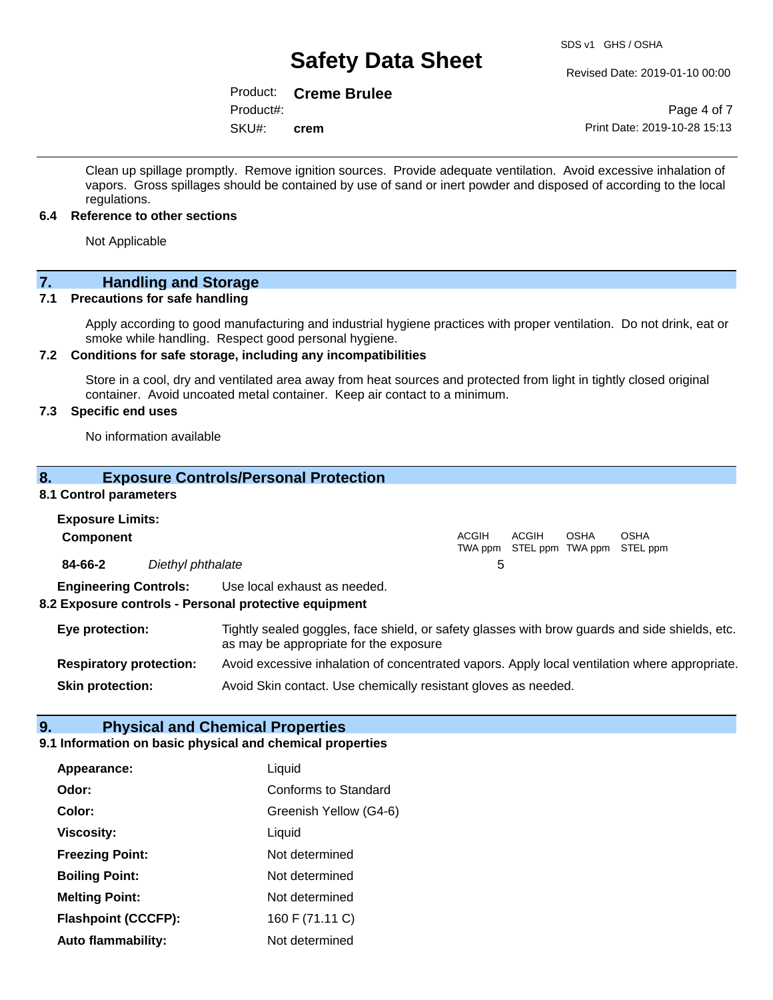#### Revised Date: 2019-01-10 00:00

## Product: **Creme Brulee**

Product#:

SKU#: **crem**

Page 4 of 7 Print Date: 2019-10-28 15:13

Clean up spillage promptly. Remove ignition sources. Provide adequate ventilation. Avoid excessive inhalation of vapors. Gross spillages should be contained by use of sand or inert powder and disposed of according to the local regulations.

#### **6.4 Reference to other sections**

Not Applicable

# **7. Handling and Storage**<br>**7.1** Precautions for safe handling

#### **Precautions for safe handling**

Apply according to good manufacturing and industrial hygiene practices with proper ventilation. Do not drink, eat or smoke while handling. Respect good personal hygiene.

## **7.2 Conditions for safe storage, including any incompatibilities**

Store in a cool, dry and ventilated area away from heat sources and protected from light in tightly closed original container. Avoid uncoated metal container. Keep air contact to a minimum.

## **7.3 Specific end uses**

No information available

## **8. Exposure Controls/Personal Protection**

#### **8.1 Control parameters**

| <b>Exposure Limits:</b><br><b>Component</b> |                                |                                                                                                                                          | <b>ACGIH</b> | ACGIH | OSHA | <b>OSHA</b><br>TWA ppm STEL ppm TWA ppm STEL ppm |
|---------------------------------------------|--------------------------------|------------------------------------------------------------------------------------------------------------------------------------------|--------------|-------|------|--------------------------------------------------|
| 84-66-2                                     | Diethyl phthalate              |                                                                                                                                          | 5            |       |      |                                                  |
|                                             | <b>Engineering Controls:</b>   | Use local exhaust as needed.<br>8.2 Exposure controls - Personal protective equipment                                                    |              |       |      |                                                  |
| Eye protection:                             |                                | Tightly sealed goggles, face shield, or safety glasses with brow guards and side shields, etc.<br>as may be appropriate for the exposure |              |       |      |                                                  |
|                                             | <b>Respiratory protection:</b> | Avoid excessive inhalation of concentrated vapors. Apply local ventilation where appropriate.                                            |              |       |      |                                                  |

**Skin protection:** Avoid Skin contact. Use chemically resistant gloves as needed.

## **9. Physical and Chemical Properties**

## **9.1 Information on basic physical and chemical properties**

| Appearance:                | Liquid                 |
|----------------------------|------------------------|
| Odor:                      | Conforms to Standard   |
| Color:                     | Greenish Yellow (G4-6) |
| <b>Viscosity:</b>          | Liquid                 |
| <b>Freezing Point:</b>     | Not determined         |
| <b>Boiling Point:</b>      | Not determined         |
| <b>Melting Point:</b>      | Not determined         |
| <b>Flashpoint (CCCFP):</b> | 160 F (71.11 C)        |
| <b>Auto flammability:</b>  | Not determined         |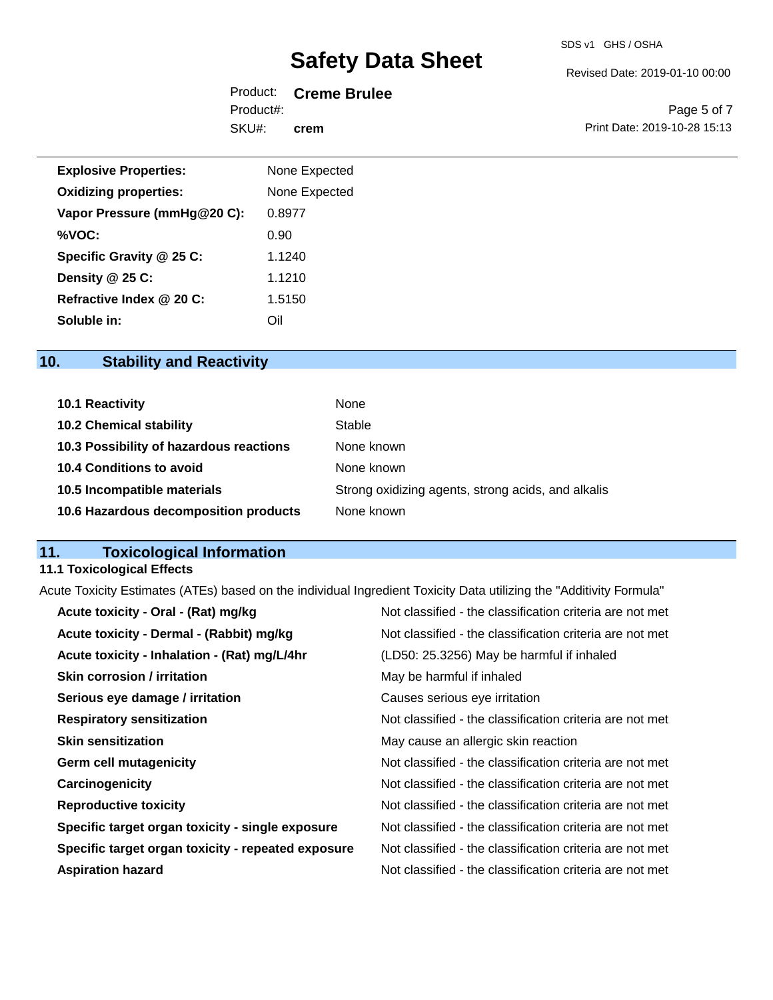Revised Date: 2019-01-10 00:00

|           | Product: Creme Brulee |
|-----------|-----------------------|
| Product#: |                       |
| SKU#:     | crem                  |

Page 5 of 7 Print Date: 2019-10-28 15:13

| <b>Explosive Properties:</b> | None Expected |
|------------------------------|---------------|
| <b>Oxidizing properties:</b> | None Expected |
| Vapor Pressure (mmHg@20 C):  | 0.8977        |
| %VOC:                        | 0.90          |
| Specific Gravity @ 25 C:     | 1.1240        |
| Density @ 25 C:              | 1.1210        |
| Refractive Index @ 20 C:     | 1.5150        |
| Soluble in:                  | Oil           |

## **10. Stability and Reactivity**

| 10.1 Reactivity                         | None                                               |
|-----------------------------------------|----------------------------------------------------|
| <b>10.2 Chemical stability</b>          | Stable                                             |
| 10.3 Possibility of hazardous reactions | None known                                         |
| 10.4 Conditions to avoid                | None known                                         |
| 10.5 Incompatible materials             | Strong oxidizing agents, strong acids, and alkalis |
| 10.6 Hazardous decomposition products   | None known                                         |

## **11. Toxicological Information**

#### **11.1 Toxicological Effects**

Acute Toxicity Estimates (ATEs) based on the individual Ingredient Toxicity Data utilizing the "Additivity Formula"

| Acute toxicity - Oral - (Rat) mg/kg                | Not classified - the classification criteria are not met |
|----------------------------------------------------|----------------------------------------------------------|
| Acute toxicity - Dermal - (Rabbit) mg/kg           | Not classified - the classification criteria are not met |
| Acute toxicity - Inhalation - (Rat) mg/L/4hr       | (LD50: 25.3256) May be harmful if inhaled                |
| <b>Skin corrosion / irritation</b>                 | May be harmful if inhaled                                |
| Serious eye damage / irritation                    | Causes serious eye irritation                            |
| <b>Respiratory sensitization</b>                   | Not classified - the classification criteria are not met |
| <b>Skin sensitization</b>                          | May cause an allergic skin reaction                      |
| <b>Germ cell mutagenicity</b>                      | Not classified - the classification criteria are not met |
| Carcinogenicity                                    | Not classified - the classification criteria are not met |
| <b>Reproductive toxicity</b>                       | Not classified - the classification criteria are not met |
| Specific target organ toxicity - single exposure   | Not classified - the classification criteria are not met |
| Specific target organ toxicity - repeated exposure | Not classified - the classification criteria are not met |
| <b>Aspiration hazard</b>                           | Not classified - the classification criteria are not met |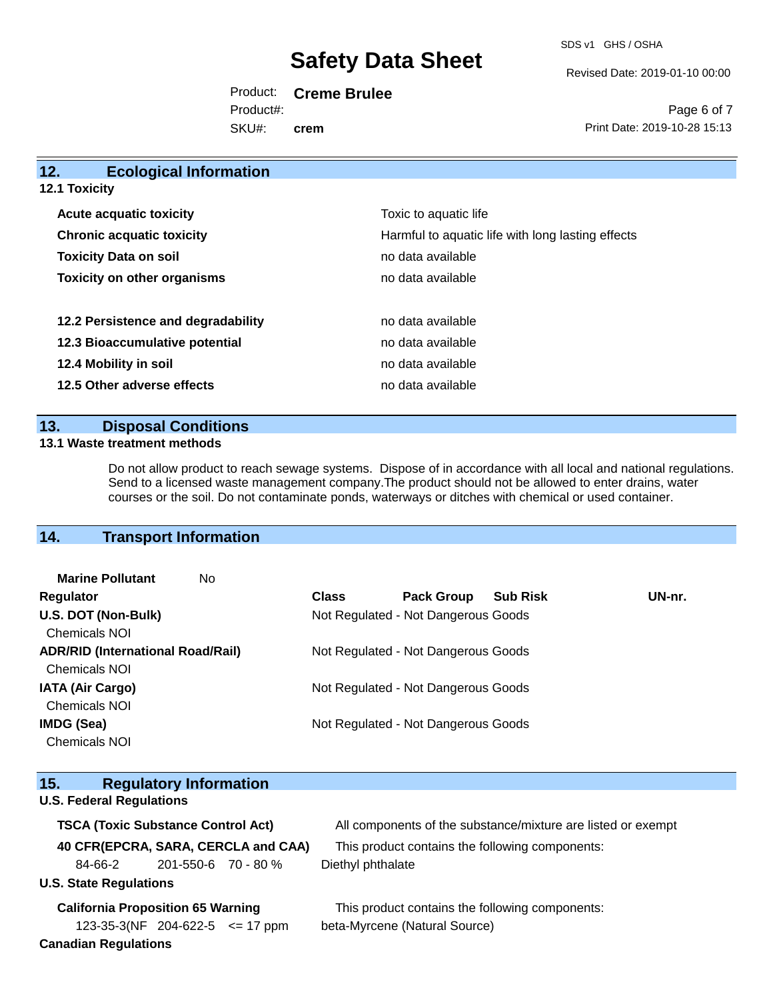SDS v1 GHS / OSHA

Revised Date: 2019-01-10 00:00

Print Date: 2019-10-28 15:13

Page 6 of 7

Product: **Creme Brulee** SKU#: Product#: **crem**

**12. Ecological Information 12.1 Toxicity Acute acquatic toxicity Toxic to aquatic life Chronic acquatic toxicity Harmful to aquatic life with long lasting effects Toxicity Data on soil no data available no data available Toxicity on other organisms no data available 12.2 Persistence and degradability no data available 12.3 Bioaccumulative potential example 3 and 12.3 Bioaccumulative potential 12.4 Mobility in soil 12.4 Mobility in soil 12.5 Other adverse effects no data available no data available** 

## **13. Disposal Conditions**

#### **13.1 Waste treatment methods**

Do not allow product to reach sewage systems. Dispose of in accordance with all local and national regulations. Send to a licensed waste management company.The product should not be allowed to enter drains, water courses or the soil. Do not contaminate ponds, waterways or ditches with chemical or used container.

## **14. Transport Information**

| <b>Marine Pollutant</b><br>No            |                                     |                                     |                 |        |
|------------------------------------------|-------------------------------------|-------------------------------------|-----------------|--------|
| <b>Regulator</b>                         | <b>Class</b>                        | <b>Pack Group</b>                   | <b>Sub Risk</b> | UN-nr. |
| U.S. DOT (Non-Bulk)                      | Not Regulated - Not Dangerous Goods |                                     |                 |        |
| <b>Chemicals NOI</b>                     |                                     |                                     |                 |        |
| <b>ADR/RID (International Road/Rail)</b> | Not Regulated - Not Dangerous Goods |                                     |                 |        |
| <b>Chemicals NOI</b>                     |                                     |                                     |                 |        |
| <b>IATA (Air Cargo)</b>                  | Not Regulated - Not Dangerous Goods |                                     |                 |        |
| <b>Chemicals NOI</b>                     |                                     |                                     |                 |        |
| IMDG (Sea)                               |                                     | Not Regulated - Not Dangerous Goods |                 |        |
| <b>Chemicals NOI</b>                     |                                     |                                     |                 |        |
|                                          |                                     |                                     |                 |        |

| <b>Regulatory Information</b><br>15.      |                                                              |
|-------------------------------------------|--------------------------------------------------------------|
| <b>U.S. Federal Regulations</b>           |                                                              |
| <b>TSCA (Toxic Substance Control Act)</b> | All components of the substance/mixture are listed or exempt |
| 40 CFR(EPCRA, SARA, CERCLA and CAA)       | This product contains the following components:              |
| 201-550-6 70 - 80 %<br>84-66-2            | Diethyl phthalate                                            |
| <b>U.S. State Regulations</b>             |                                                              |
| <b>California Proposition 65 Warning</b>  | This product contains the following components:              |
| $123-35-3(NF)$ 204-622-5 $\leq$ 17 ppm    | beta-Myrcene (Natural Source)                                |
| <b>Canadian Regulations</b>               |                                                              |
|                                           |                                                              |